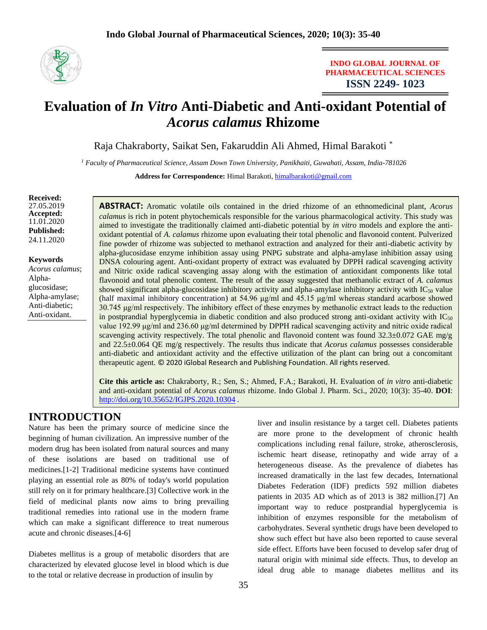

**INDO GLOBAL JOURNAL OF PHARMACEUTICAL SCIENCES ISSN 2249- 1023**

# **Evaluation of** *In Vitro* **Anti-Diabetic and Anti-oxidant Potential of**  *Acorus calamus* **Rhizome**

Raja Chakraborty, Saikat Sen, Fakaruddin Ali Ahmed, Himal Barakoti \*

*<sup>1</sup> Faculty of Pharmaceutical Science, Assam Down Town University, Panikhaiti, Guwahati, Assam, India-781026*

Address for Correspondence: Himal Barakoti, [himalbarakoti@gmail.com](mailto:himalbarakoti@gmail.com)

**Received:**  27.05.2019 **Accepted:**  11.01.2020 **Published:** 24.11.2020

**Keywords** *Acorus calamus*; Alphaglucosidase; Alpha-amylase; Anti-diabetic; Anti-oxidant.

**ABSTRACT:** Aromatic volatile oils contained in the dried rhizome of an ethnomedicinal plant, *Acorus calamus* is rich in potent phytochemicals responsible for the various pharmacological activity. This study was aimed to investigate the traditionally claimed anti-diabetic potential by *in vitro* models and explore the antioxidant potential of *A. calamus* rhizome upon evaluating their total phenolic and flavonoid content. Pulverized fine powder of rhizome was subjected to methanol extraction and analyzed for their anti-diabetic activity by alpha-glucosidase enzyme inhibition assay using PNPG substrate and alpha-amylase inhibition assay using DNSA colouring agent. Anti-oxidant property of extract was evaluated by DPPH radical scavenging activity and Nitric oxide radical scavenging assay along with the estimation of antioxidant components like total flavonoid and total phenolic content. The result of the assay suggested that methanolic extract of *A. calamus* showed significant alpha-glucosidase inhibitory activity and alpha-amylase inhibitory activity with  $IC_{50}$  value (half maximal inhibitory concentration) at 54.96 μg/ml and 45.15 μg/ml whereas standard acarbose showed 30.745 μg/ml respectively. The inhibitory effect of these enzymes by methanolic extract leads to the reduction in postprandial hyperglycemia in diabetic condition and also produced strong anti-oxidant activity with  $IC_{50}$ value 192.99 μg/ml and 236.60 μg/ml determined by DPPH radical scavenging activity and nitric oxide radical scavenging activity respectively. The total phenolic and flavonoid content was found  $32.3\pm0.072$  GAE mg/g and 22.5±0.064 QE mg/g respectively. The results thus indicate that *Acorus calamus* possesses considerable anti-diabetic and antioxidant activity and the effective utilization of the plant can bring out a concomitant therapeutic agent. © 2020 iGlobal Research and Publishing Foundation. All rights reserved.

**Cite this article as:** Chakraborty, R.; Sen, S.; Ahmed, F.A.; Barakoti, H. Evaluation of *in vitro* anti-diabetic and anti-oxidant potential of *Acorus calamus* rhizome. Indo Global J. Pharm. Sci., 2020; 10(3): 35-40. **DOI**: <http://doi.org/10.35652/IGJPS.2020.10304> .

## **INTRODUCTION**

Nature has been the primary source of medicine since the beginning of human civilization. An impressive number of the modern drug has been isolated from natural sources and many of these isolations are based on traditional use of medicines.[1-2] Traditional medicine systems have continued playing an essential role as 80% of today's world population still rely on it for primary healthcare.[3] Collective work in the field of medicinal plants now aims to bring prevailing traditional remedies into rational use in the modern frame which can make a significant difference to treat numerous acute and chronic diseases.[4-6]

Diabetes mellitus is a group of metabolic disorders that are characterized by elevated glucose level in blood which is due to the total or relative decrease in production of insulin by

liver and insulin resistance by a target cell. Diabetes patients are more prone to the development of chronic health complications including renal failure, stroke, atherosclerosis, ischemic heart disease, retinopathy and wide array of a heterogeneous disease. As the prevalence of diabetes has increased dramatically in the last few decades, International Diabetes Federation (IDF) predicts 592 million diabetes patients in 2035 AD which as of 2013 is 382 million.[7] An important way to reduce postprandial hyperglycemia is inhibition of enzymes responsible for the metabolism of carbohydrates. Several synthetic drugs have been developed to show such effect but have also been reported to cause several side effect. Efforts have been focused to develop safer drug of natural origin with minimal side effects. Thus, to develop an ideal drug able to manage diabetes mellitus and its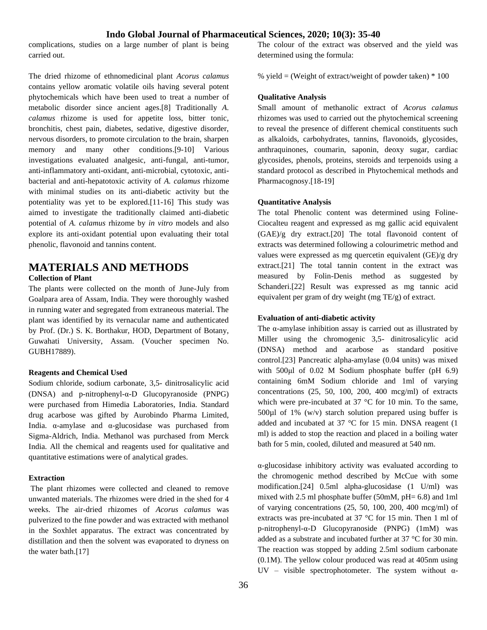complications, studies on a large number of plant is being carried out.

The dried rhizome of ethnomedicinal plant *Acorus calamus* contains yellow aromatic volatile oils having several potent phytochemicals which have been used to treat a number of metabolic disorder since ancient ages.[8] Traditionally *A. calamus* rhizome is used for appetite loss, bitter tonic, bronchitis, chest pain, diabetes, sedative, digestive disorder, nervous disorders, to promote circulation to the brain, sharpen memory and many other conditions.[9-10] Various investigations evaluated analgesic, anti-fungal, anti-tumor, anti-inflammatory anti-oxidant, anti-microbial, cytotoxic, antibacterial and anti-hepatotoxic activity of *A. calamus* rhizome with minimal studies on its anti-diabetic activity but the potentiality was yet to be explored.[11-16] This study was aimed to investigate the traditionally claimed anti-diabetic potential of *A. calamus* rhizome by *in vitro* models and also explore its anti-oxidant potential upon evaluating their total phenolic, flavonoid and tannins content.

## **MATERIALS AND METHODS**

#### **Collection of Plant**

The plants were collected on the month of June-July from Goalpara area of Assam, India. They were thoroughly washed in running water and segregated from extraneous material. The plant was identified by its vernacular name and authenticated by Prof. (Dr.) S. K. Borthakur, HOD, Department of Botany, Guwahati University, Assam. (Voucher specimen No. GUBH17889).

#### **Reagents and Chemical Used**

Sodium chloride, sodium carbonate, 3,5- dinitrosalicylic acid (DNSA) and p-nitrophenyl-α-D Glucopyranoside (PNPG) were purchased from Himedia Laboratories, India. Standard drug acarbose was gifted by Aurobindo Pharma Limited, India. α-amylase and α-glucosidase was purchased from Sigma-Aldrich, India. Methanol was purchased from Merck India. All the chemical and reagents used for qualitative and quantitative estimations were of analytical grades.

#### **Extraction**

The plant rhizomes were collected and cleaned to remove unwanted materials. The rhizomes were dried in the shed for 4 weeks. The air-dried rhizomes of *Acorus calamus* was pulverized to the fine powder and was extracted with methanol in the Soxhlet apparatus. The extract was concentrated by distillation and then the solvent was evaporated to dryness on the water bath.[17]

The colour of the extract was observed and the yield was determined using the formula:

% yield = (Weight of extract/weight of powder taken)  $*100$ 

#### **Qualitative Analysis**

Small amount of methanolic extract of *Acorus calamus*  rhizomes was used to carried out the phytochemical screening to reveal the presence of different chemical constituents such as alkaloids, carbohydrates, tannins, flavonoids, glycosides, anthraquinones, coumarin, saponin, deoxy sugar, cardiac glycosides, phenols, proteins, steroids and terpenoids using a standard protocol as described in Phytochemical methods and Pharmacognosy.[18-19]

#### **Quantitative Analysis**

The total Phenolic content was determined using Foline-Ciocalteu reagent and expressed as mg gallic acid equivalent (GAE)/g dry extract.[20] The total flavonoid content of extracts was determined following a colourimetric method and values were expressed as mg quercetin equivalent (GE)/g dry extract.[21] The total tannin content in the extract was measured by Folin-Denis method as suggested by Schanderi.[22] Result was expressed as mg tannic acid equivalent per gram of dry weight (mg TE/g) of extract.

#### **Evaluation of anti-diabetic activity**

The α-amylase inhibition assay is carried out as illustrated by Miller using the chromogenic 3,5- dinitrosalicylic acid (DNSA) method and acarbose as standard positive control.[23] Pancreatic alpha-amylase (0.04 units) was mixed with 500μl of 0.02 M Sodium phosphate buffer (pH 6.9) containing 6mM Sodium chloride and 1ml of varying concentrations  $(25, 50, 100, 200, 400 \text{ meg/ml})$  of extracts which were pre-incubated at 37 °C for 10 min. To the same,  $500\mu$ l of 1% (w/v) starch solution prepared using buffer is added and incubated at 37 °C for 15 min. DNSA reagent (1 ml) is added to stop the reaction and placed in a boiling water bath for 5 min, cooled, diluted and measured at 540 nm.

α-glucosidase inhibitory activity was evaluated according to the chromogenic method described by McCue with some modification.[24] 0.5ml alpha-glucosidase (1 U/ml) was mixed with 2.5 ml phosphate buffer (50mM,  $pH = 6.8$ ) and 1ml of varying concentrations (25, 50, 100, 200, 400 mcg/ml) of extracts was pre-incubated at 37 °C for 15 min. Then 1 ml of p-nitrophenyl-α-D Glucopyranoside (PNPG) (1mM) was added as a substrate and incubated further at 37 °C for 30 min. The reaction was stopped by adding 2.5ml sodium carbonate (0.1M). The yellow colour produced was read at 405nm using UV – visible spectrophotometer. The system without  $\alpha$ -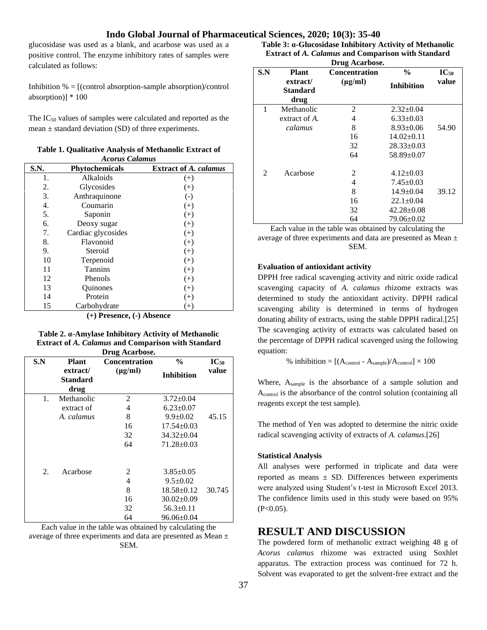glucosidase was used as a blank, and acarbose was used as a positive control. The enzyme inhibitory rates of samples were calculated as follows:

Inhibition  $% = [$ (control absorption-sample absorption)/control absorption)] \* 100

The IC<sup>50</sup> values of samples were calculated and reported as the mean  $\pm$  standard deviation (SD) of three experiments.

| <b>Acorus Calamus</b> |                       |                              |  |  |  |  |
|-----------------------|-----------------------|------------------------------|--|--|--|--|
| S.N.                  | <b>Phytochemicals</b> | <b>Extract of A. calamus</b> |  |  |  |  |
| 1.                    | Alkaloids             | $^{(+)}$                     |  |  |  |  |
| 2.                    | Glycosides            | $^{(+)}$                     |  |  |  |  |
| 3.                    | Anthraquinone         | $\left( -\right)$            |  |  |  |  |
| 4.                    | Coumarin              | $(+)$                        |  |  |  |  |
| 5.                    | Saponin               | $(+)$                        |  |  |  |  |
| 6.                    | Deoxy sugar           | $(+)$                        |  |  |  |  |
| 7.                    | Cardiac glycosides    | $^{(+)}$                     |  |  |  |  |
| 8.                    | Flavonoid             | $(+)$                        |  |  |  |  |
| 9.                    | Steroid               | $(+)$                        |  |  |  |  |
| 10                    | Terpenoid             | $(+)$                        |  |  |  |  |
| 11                    | Tannins               | $(+)$                        |  |  |  |  |
| 12                    | Phenols               | $^{(+)}$                     |  |  |  |  |
| 13                    | Quinones              | $^{(+)}$                     |  |  |  |  |
| 14                    | Protein               | $(+)$                        |  |  |  |  |
| 15                    | Carbohydrate          | $(+)$                        |  |  |  |  |

**Table 1. Qualitative Analysis of Methanolic Extract of** 

**(+) Presence, (-) Absence**

**Table 2. α-Amylase Inhibitory Activity of Methanolic Extract of** *A. Calamus* **and Comparison with Standard Drug Acarbose.**

| S.N | <b>Plant</b>                        | <b>Concentration</b> | $\frac{0}{0}$     | $\mathbf{IC}_{50}$ |
|-----|-------------------------------------|----------------------|-------------------|--------------------|
|     | extract/<br><b>Standard</b><br>drug | $(\mu g/ml)$         | <b>Inhibition</b> | value              |
| 1.  | Methanolic                          | 2                    | $3.72 \pm 0.04$   |                    |
|     | extract of                          | 4                    | $6.23 \pm 0.07$   |                    |
|     | A. calamus                          | 8                    | $9.9 \pm 0.02$    | 45.15              |
|     |                                     | 16                   | $17.54 \pm 0.03$  |                    |
|     |                                     | 32                   | $34.32 \pm 0.04$  |                    |
|     |                                     | 64                   | $71.28 \pm 0.03$  |                    |
| 2.  | Acarbose                            | 2                    | $3.85 \pm 0.05$   |                    |
|     |                                     | 4                    | $9.5 \pm 0.02$    |                    |
|     |                                     | 8                    | $18.58 \pm 0.12$  | 30.745             |
|     |                                     | 16                   | $30.02 \pm 0.09$  |                    |
|     |                                     | 32                   | $56.3 \pm 0.11$   |                    |
|     |                                     | 64                   | $96.06 \pm 0.04$  |                    |

Each value in the table was obtained by calculating the average of three experiments and data are presented as Mean ± SEM.

**Table 3: α-Glucosidase Inhibitory Activity of Methanolic Extract of** *A. Calamus* **and Comparison with Standard Drug Acarbose.**

| S.N | <b>Plant</b>  | DTU2 ACATOOSE.<br><b>Concentration</b> | $\frac{6}{9}$     | $IC_{50}$ |
|-----|---------------|----------------------------------------|-------------------|-----------|
|     |               |                                        |                   |           |
|     | extract/      | $(\mu g/ml)$                           | <b>Inhibition</b> | value     |
|     | Standard      |                                        |                   |           |
|     | drug          |                                        |                   |           |
| 1   | Methanolic    | 2                                      | $2.32 \pm 0.04$   |           |
|     | extract of A. | 4                                      | $6.33 \pm 0.03$   |           |
|     | calamus       | 8                                      | $8.93 \pm 0.06$   | 54.90     |
|     |               | 16                                     | $14.02 \pm 0.11$  |           |
|     |               | 32                                     | $28.33 \pm 0.03$  |           |
|     |               | 64                                     | $58.89 \pm 0.07$  |           |
| 2   | Acarbose      | 2                                      | $4.12 \pm 0.03$   |           |
|     |               | 4                                      | $7.45 \pm 0.03$   |           |
|     |               | 8                                      | $14.9 \pm 0.04$   | 39.12     |
|     |               | 16                                     | $22.1 \pm 0.04$   |           |
|     |               | 32                                     | $42.28 \pm 0.08$  |           |
|     |               | 64                                     | $79.06 \pm 0.02$  |           |

Each value in the table was obtained by calculating the average of three experiments and data are presented as Mean ± SEM.

#### **Evaluation of antioxidant activity**

DPPH free radical scavenging activity and nitric oxide radical scavenging capacity of *A. calamus* rhizome extracts was determined to study the antioxidant activity. DPPH radical scavenging ability is determined in terms of hydrogen donating ability of extracts, using the stable DPPH radical.[25] The scavenging activity of extracts was calculated based on the percentage of DPPH radical scavenged using the following equation:

% inhibition =  $[(A_{control} - A_{sample})/A_{control}] \times 100$ 

Where, Asample is the absorbance of a sample solution and Acontrol is the absorbance of the control solution (containing all reagents except the test sample).

The method of Yen was adopted to determine the nitric oxide radical scavenging activity of extracts of *A. calamus*.[26]

#### **Statistical Analysis**

All analyses were performed in triplicate and data were reported as means  $\pm$  SD. Differences between experiments were analyzed using Student's t-test in Microsoft Excel 2013. The confidence limits used in this study were based on 95%  $(P<0.05)$ .

### **RESULT AND DISCUSSION**

The powdered form of methanolic extract weighing 48 g of *Acorus calamus* rhizome was extracted using Soxhlet apparatus. The extraction process was continued for 72 h. Solvent was evaporated to get the solvent-free extract and the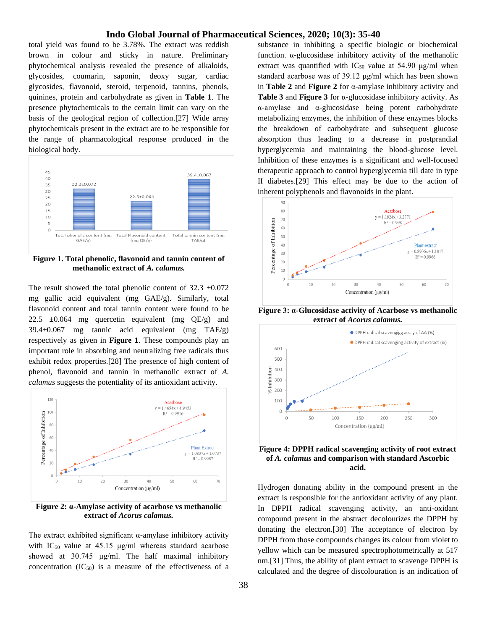total yield was found to be 3.78%. The extract was reddish brown in colour and sticky in nature. Preliminary phytochemical analysis revealed the presence of alkaloids, glycosides, coumarin, saponin, deoxy sugar, cardiac glycosides, flavonoid, steroid, terpenoid, tannins, phenols, quinines, protein and carbohydrate as given in **Table 1**. The presence phytochemicals to the certain limit can vary on the basis of the geological region of collection.[27] Wide array phytochemicals present in the extract are to be responsible for the range of pharmacological response produced in the biological body.



**Figure 1. Total phenolic, flavonoid and tannin content of methanolic extract of** *A. calamus.*

The result showed the total phenolic content of  $32.3 \pm 0.072$ mg gallic acid equivalent (mg GAE/g). Similarly, total flavonoid content and total tannin content were found to be 22.5  $\pm 0.064$  mg quercetin equivalent (mg QE/g) and 39.4±0.067 mg tannic acid equivalent (mg TAE/g) respectively as given in **Figure 1**. These compounds play an important role in absorbing and neutralizing free radicals thus exhibit redox properties.[28] The presence of high content of phenol, flavonoid and tannin in methanolic extract of *A. calamus* suggests the potentiality of its antioxidant activity.



**Figure 2: α-Amylase activity of acarbose vs methanolic extract of** *Acorus calamus.*

The extract exhibited significant α-amylase inhibitory activity with  $IC_{50}$  value at 45.15  $\mu$ g/ml whereas standard acarbose showed at 30.745 μg/ml. The half maximal inhibitory concentration  $(IC_{50})$  is a measure of the effectiveness of a

substance in inhibiting a specific biologic or biochemical function. α-glucosidase inhibitory activity of the methanolic extract was quantified with  $IC_{50}$  value at 54.90  $\mu$ g/ml when standard acarbose was of 39.12 μg/ml which has been shown in **Table 2** and **Figure 2** for α-amylase inhibitory activity and **Table 3** and **Figure 3** for α-glucosidase inhibitory activity. As α-amylase and α-glucosidase being potent carbohydrate metabolizing enzymes, the inhibition of these enzymes blocks the breakdown of carbohydrate and subsequent glucose absorption thus leading to a decrease in postprandial hyperglycemia and maintaining the blood-glucose level. Inhibition of these enzymes is a significant and well-focused therapeutic approach to control hyperglycemia till date in type II diabetes.[29] This effect may be due to the action of inherent polyphenols and flavonoids in the plant.



**Figure 3: α-Glucosidase activity of Acarbose vs methanolic extract of** *Acorus calamus.*



**Figure 4: DPPH radical scavenging activity of root extract of** *A. calamus* **and comparison with standard Ascorbic acid.**

Hydrogen donating ability in the compound present in the extract is responsible for the antioxidant activity of any plant. In DPPH radical scavenging activity, an anti-oxidant compound present in the abstract decolourizes the DPPH by donating the electron.[30] The acceptance of electron by DPPH from those compounds changes its colour from violet to yellow which can be measured spectrophotometrically at 517 nm.[31] Thus, the ability of plant extract to scavenge DPPH is calculated and the degree of discolouration is an indication of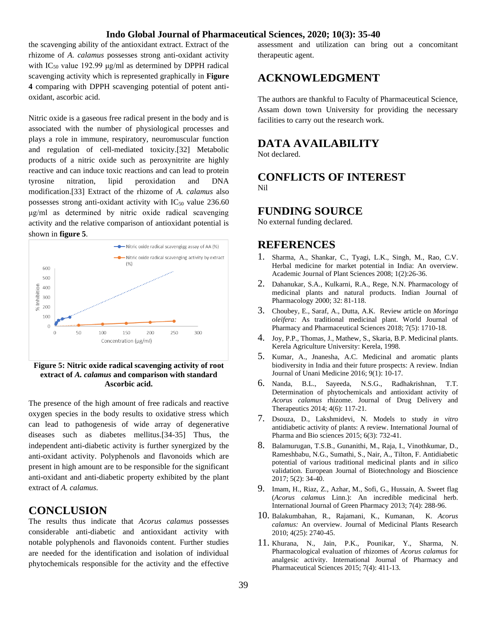the scavenging ability of the antioxidant extract. Extract of the rhizome of *A. calamus* possesses strong anti-oxidant activity with  $IC_{50}$  value 192.99  $\mu$ g/ml as determined by DPPH radical scavenging activity which is represented graphically in **Figure 4** comparing with DPPH scavenging potential of potent antioxidant, ascorbic acid.

Nitric oxide is a gaseous free radical present in the body and is associated with the number of physiological processes and plays a role in immune, respiratory, neuromuscular function and regulation of cell-mediated toxicity.[32] Metabolic products of a nitric oxide such as peroxynitrite are highly reactive and can induce toxic reactions and can lead to protein tyrosine nitration, lipid peroxidation and DNA modification.[33] Extract of the rhizome of *A. calamus* also possesses strong anti-oxidant activity with  $IC_{50}$  value 236.60 μg/ml as determined by nitric oxide radical scavenging activity and the relative comparison of antioxidant potential is shown in **figure 5**.



**Figure 5: Nitric oxide radical scavenging activity of root extract of** *A. calamus* **and comparison with standard Ascorbic acid.**

The presence of the high amount of free radicals and reactive oxygen species in the body results to oxidative stress which can lead to pathogenesis of wide array of degenerative diseases such as diabetes mellitus.[34-35] Thus, the independent anti-diabetic activity is further synergized by the anti-oxidant activity. Polyphenols and flavonoids which are present in high amount are to be responsible for the significant anti-oxidant and anti-diabetic property exhibited by the plant extract of *A. calamus.*

## **CONCLUSION**

The results thus indicate that *Acorus calamus* possesses considerable anti-diabetic and antioxidant activity with notable polyphenols and flavonoids content. Further studies are needed for the identification and isolation of individual phytochemicals responsible for the activity and the effective

assessment and utilization can bring out a concomitant therapeutic agent.

## **ACKNOWLEDGMENT**

The authors are thankful to Faculty of Pharmaceutical Science, Assam down town University for providing the necessary facilities to carry out the research work.

## **DATA AVAILABILITY**

Not declared.

**CONFLICTS OF INTEREST** Nil

## **FUNDING SOURCE**

No external funding declared.

## **REFERENCES**

- 1. Sharma, A., Shankar, C., Tyagi, L.K., Singh, M., Rao, C.V. Herbal medicine for market potential in India: An overview. Academic Journal of Plant Sciences 2008; 1(2):26-36.
- 2. Dahanukar, S.A., Kulkarni, R.A., Rege, N.N. Pharmacology of medicinal plants and natural products. Indian Journal of Pharmacology 2000; 32: 81-118.
- 3. Choubey, E., Saraf, A., Dutta, A.K. Review article on *Moringa oleifera:* As traditional medicinal plant. World Journal of Pharmacy and Pharmaceutical Sciences 2018; 7(5): 1710-18.
- 4. Joy, P.P., Thomas, J., Mathew, S., Skaria, B.P. Medicinal plants. Kerela Agriculture University: Kerela, 1998.
- 5. Kumar, A., Jnanesha, A.C. Medicinal and aromatic plants biodiversity in India and their future prospects: A review. Indian Journal of Unani Medicine 2016; 9(1): 10-17.
- 6. Nanda, B.L., Sayeeda, N.S.G., Radhakrishnan, T.T. Determination of phytochemicals and antioxidant activity of *Acorus calamus* rhizome. Journal of Drug Delivery and Therapeutics 2014; 4(6): 117-21.
- 7. Dsouza, D., Lakshmidevi, N. Models to study *in vitro*  antidiabetic activity of plants: A review. International Journal of Pharma and Bio sciences 2015; 6(3): 732-41.
- 8. Balamurugan, T.S.B., Gunanithi, M., Raja, I., Vinothkumar, D., Rameshbabu, N.G., Sumathi, S., Nair, A., Tilton, F. Antidiabetic potential of various traditional medicinal plants and *in silico* validation. European Journal of Biotechnology and Bioscience 2017; 5(2): 34-40.
- 9. Imam, H., Riaz, Z., Azhar, M., Sofi, G., Hussain, A. Sweet flag (*Acorus calamus* Linn.): An incredible medicinal herb. International Journal of Green Pharmacy 2013; 7(4): 288-96.
- 10. Balakumbahan, R., Rajamani, K., Kumanan, K. *Acorus calamus:* An overview. Journal of Medicinal Plants Research 2010; 4(25): 2740-45.
- 11. Khurana, N., Jain, P.K., Pounikar, Y., Sharma, N. Pharmacological evaluation of rhizomes of *Acorus calamus* for analgesic activity. International Journal of Pharmacy and Pharmaceutical Sciences 2015; 7(4): 411-13.